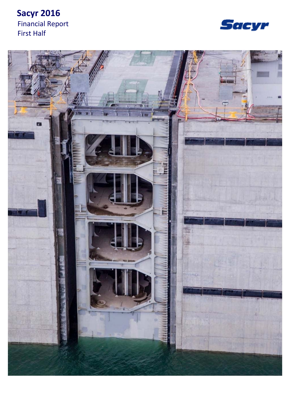# **Sacyr 2016** Financial Report First Half



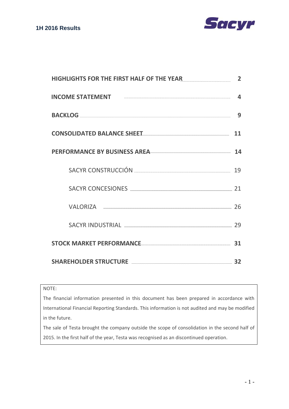

| HIGHLIGHTS FOR THE FIRST HALF OF THE YEAR <b>STAR AND THE SET ASSESS</b>                                                                                                                                                       | 2  |
|--------------------------------------------------------------------------------------------------------------------------------------------------------------------------------------------------------------------------------|----|
| INCOME STATEMENT And the contract of the contract of the contract of the contract of the contract of the contract of the contract of the contract of the contract of the contract of the contract of the contract of the contr | 4  |
|                                                                                                                                                                                                                                | 9  |
| CONSOLIDATED BALANCE SHEET AND ANNOUNCEMENT OF A STATE OF A STATE OF A STATE OF A STATE OF A STATE OF A STATE                                                                                                                  | 11 |
| PERFORMANCE BY BUSINESS AREA                                                                                                                                                                                                   |    |
| SACYR CONSTRUCCIÓN <b>Express SACYR</b> CONSTRUCCIÓN                                                                                                                                                                           | 19 |
| SACYR CONCESIONES <b>Example 2018</b>                                                                                                                                                                                          | 21 |
| VALORIZA 26                                                                                                                                                                                                                    |    |
| SACYR INDUSTRIAL AND ANNOUNCED AND THE SACYR INDUSTRIAL                                                                                                                                                                        | 79 |
| STOCK MARKET PERFORMANCE 31                                                                                                                                                                                                    |    |
| SHAREHOLDER STRUCTURE 32                                                                                                                                                                                                       |    |

#### NOTE:

The financial information presented in this document has been prepared in accordance with International Financial Reporting Standards. This information is not audited and may be modified in the future.

The sale of Testa brought the company outside the scope of consolidation in the second half of 2015. In the first half of the year, Testa was recognised as an discontinued operation.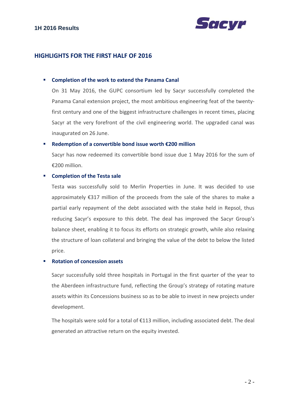

#### **HIGHLIGHTS FOR THE FIRST HALF OF 2016**

#### **Completion of the work to extend the Panama Canal**

On 31 May 2016, the GUPC consortium led by Sacyr successfully completed the Panama Canal extension project, the most ambitious engineering feat of the twenty‐ first century and one of the biggest infrastructure challenges in recent times, placing Sacyr at the very forefront of the civil engineering world. The upgraded canal was inaugurated on 26 June.

#### **Redemption of a convertible bond issue worth €200 million**

Sacyr has now redeemed its convertible bond issue due 1 May 2016 for the sum of €200 million.

#### **Completion of the Testa sale**

Testa was successfully sold to Merlin Properties in June. It was decided to use approximately €317 million of the proceeds from the sale of the shares to make a partial early repayment of the debt associated with the stake held in Repsol, thus reducing Sacyr's exposure to this debt. The deal has improved the Sacyr Group's balance sheet, enabling it to focus its efforts on strategic growth, while also relaxing the structure of loan collateral and bringing the value of the debt to below the listed price.

#### **Rotation of concession assets**

Sacyr successfully sold three hospitals in Portugal in the first quarter of the year to the Aberdeen infrastructure fund, reflecting the Group's strategy of rotating mature assets within its Concessions business so as to be able to invest in new projects under development.

The hospitals were sold for a total of  $E113$  million, including associated debt. The deal generated an attractive return on the equity invested.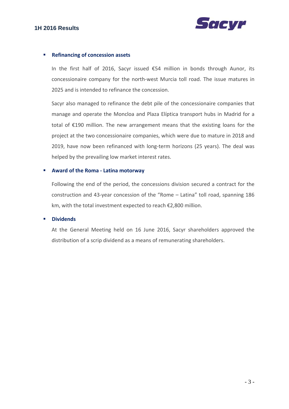

#### **Refinancing of concession assets**

In the first half of 2016, Sacyr issued €54 million in bonds through Aunor, its concessionaire company for the north‐west Murcia toll road. The issue matures in 2025 and is intended to refinance the concession.

Sacyr also managed to refinance the debt pile of the concessionaire companies that manage and operate the Moncloa and Plaza Elíptica transport hubs in Madrid for a total of €190 million. The new arrangement means that the existing loans for the project at the two concessionaire companies, which were due to mature in 2018 and 2019, have now been refinanced with long-term horizons (25 years). The deal was helped by the prevailing low market interest rates.

#### **Award of the Roma ‐ Latina motorway**

Following the end of the period, the concessions division secured a contract for the construction and 43‐year concession of the "Rome – Latina" toll road, spanning 186 km, with the total investment expected to reach €2,800 million.

#### **Dividends**

At the General Meeting held on 16 June 2016, Sacyr shareholders approved the distribution of a scrip dividend as a means of remunerating shareholders.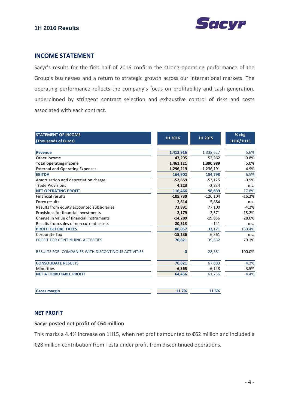



#### **INCOME STATEMENT**

Sacyr's results for the first half of 2016 confirm the strong operating performance of the Group's businesses and a return to strategic growth across our international markets. The operating performance reflects the company's focus on profitability and cash generation, underpinned by stringent contract selection and exhaustive control of risks and costs associated with each contract.

| <b>STATEMENT OF INCOME</b>                                |              |              | % chg     |
|-----------------------------------------------------------|--------------|--------------|-----------|
| (Thousands of Euros)                                      | 1H 2016      | 1H 2015      | 1H16/1H15 |
|                                                           |              |              |           |
| <b>Revenue</b>                                            | 1,413,916    | 1,338,627    | 5.6%      |
| Other income                                              | 47,205       | 52,362       | $-9.8%$   |
| <b>Total operating income</b>                             | 1,461,121    | 1,390,989    | 5.0%      |
| <b>External and Operating Expenses</b>                    | $-1,296,219$ | $-1,236,191$ | 4.9%      |
| <b>EBITDA</b>                                             | 164,902      | 154,798      | 6.5%      |
| Amortisation and depreciation charge                      | $-52,659$    | $-53,125$    | $-0.9%$   |
| <b>Trade Provisions</b>                                   | 4,223        | $-2,834$     | n.s.      |
| <b>NET OPERATING PROFIT</b>                               | 116,466      | 98,839       | 17.8%     |
| <b>Financial results</b>                                  | $-105,730$   | $-126,104$   | $-16.2%$  |
| Forex results                                             | $-2,614$     | 5,884        | n.s.      |
| Results from equity accounted subsidiaries                | 73,891       | 77,100       | $-4.2%$   |
| Provisions for financial investments                      | $-2,179$     | $-2,571$     | $-15.2%$  |
| Change in value of financial instruments                  | $-14,289$    | $-19,836$    | 28.0%     |
| Results from sales of non current assets                  | 20,513       | $-141$       | n.s.      |
| <b>PROFIT BEFORE TAXES</b>                                | 86,057       | 33,171       | 159.4%    |
| Corporate Tax                                             | $-15,236$    | 6,361        | n.s.      |
| PROFIT FOR CONTINUING ACTIVITIES                          | 70,821       | 39,532       | 79.1%     |
| <b>RESULTS FOR COMPANIES WITH DISCONTINOUS ACTIVITIES</b> | $\bf{0}$     | 28,351       | $-100.0%$ |
| <b>CONSOLIDATE RESULTS</b>                                | 70,821       | 67,883       | 4.3%      |
| <b>Minorities</b>                                         | $-6,365$     | $-6,148$     | 3.5%      |
| <b>NET ATTRIBUTABLE PROFIT</b>                            | 64,456       | 61,735       | 4.4%      |
|                                                           |              |              |           |
| <b>Gross margin</b>                                       | 11.7%        | 11.6%        |           |

#### **NET PROFIT**

#### **Sacyr posted net profit of €64 million**

This marks a 4.4% increase on 1H15, when net profit amounted to €62 million and included a

€28 million contribution from Testa under profit from discontinued operations.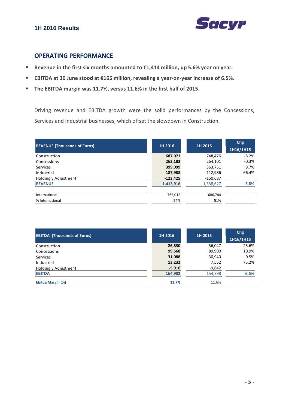

### **OPERATING PERFORMANCE**

- **Revenue in the first six months amounted to €1,414 million, up 5.6% year on year.**
- **EBITDA at 30 June stood at €165 million, revealing a year‐on‐year increase of 6.5%.**
- **The EBITDA margin was 11.7%, versus 11.6% in the first half of 2015.**

Driving revenue and EBITDA growth were the solid performances by the Concessions, Services and Industrial businesses, which offset the slowdown in Construction.

| <b>REVENUE (Thousands of Euros)</b> | 1H 2016    | 1H 2015    | <b>Chg</b><br>1H16/1H15 |
|-------------------------------------|------------|------------|-------------------------|
| Construction                        | 687,071    | 748,476    | $-8.2%$                 |
| Concessions                         | 263,183    | 264,101    | $-0.3%$                 |
| <b>Services</b>                     | 399,099    | 363,751    | 9.7%                    |
| Industrial                          | 187,988    | 112,986    | 66.4%                   |
| Holding y Adjustment                | $-123,425$ | $-150,687$ |                         |
| <b>REVENUE</b>                      | 1,413,916  | 1,338,627  | 5.6%                    |
| International                       | 765,012    | 686,744    |                         |
| % International                     | 54%        | 51%        |                         |

| <b>EBITDA (Thousands of Euros)</b> | 1H 2016  | 1H 2015  | Chg<br>1H16/1H15 |
|------------------------------------|----------|----------|------------------|
| Construction                       | 26,830   | 36,047   | $-25.6%$         |
| Concessions                        | 99,668   | 89,900   | 10.9%            |
| <b>Services</b>                    | 31,088   | 30,940   | 0.5%             |
| Industrial                         | 13,232   | 7,552    | 75.2%            |
| Holding y Adjustment               | $-5,916$ | $-9,642$ |                  |
| <b>EBITDA</b>                      | 164,902  | 154,798  | 6.5%             |
| Ebitda Margin (%)                  | 11.7%    | 11.6%    |                  |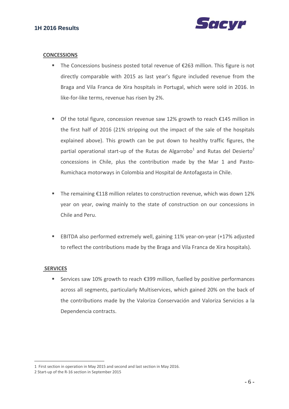

#### **CONCESSIONS**

- The Concessions business posted total revenue of €263 million. This figure is not directly comparable with 2015 as last year's figure included revenue from the Braga and Vila Franca de Xira hospitals in Portugal, which were sold in 2016. In like‐for‐like terms, revenue has risen by 2%.
- Of the total figure, concession revenue saw 12% growth to reach €145 million in the first half of 2016 (21% stripping out the impact of the sale of the hospitals explained above). This growth can be put down to healthy traffic figures, the partial operational start-up of the Rutas de Algarrobo<sup>1</sup> and Rutas del Desierto<sup>2</sup> concessions in Chile, plus the contribution made by the Mar 1 and Pasto‐ Rumichaca motorways in Colombia and Hospital de Antofagasta in Chile.
- The remaining €118 million relates to construction revenue, which was down 12% year on year, owing mainly to the state of construction on our concessions in Chile and Peru.
- EBITDA also performed extremely well, gaining 11% year-on-year (+17% adjusted to reflect the contributions made by the Braga and Vila Franca de Xira hospitals).

#### **SERVICES**

1

Services saw 10% growth to reach  $\epsilon$ 399 million, fuelled by positive performances across all segments, particularly Multiservices, which gained 20% on the back of the contributions made by the Valoriza Conservación and Valoriza Servicios a la Dependencia contracts.

<sup>1</sup> First section in operation in May 2015 and second and last section in May 2016.

<sup>2</sup> Start‐up of the R‐16 section in September 2015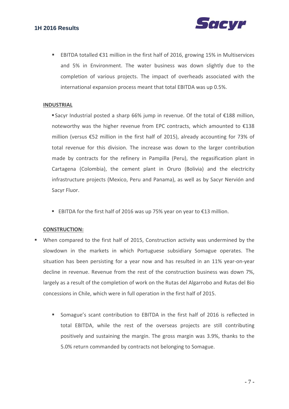

 EBITDA totalled €31 million in the first half of 2016, growing 15% in Multiservices and 5% in Environment. The water business was down slightly due to the completion of various projects. The impact of overheads associated with the international expansion process meant that total EBITDA was up 0.5%.

#### **INDUSTRIAL**

 Sacyr Industrial posted a sharp 66% jump in revenue. Of the total of €188 million, noteworthy was the higher revenue from EPC contracts, which amounted to €138 million (versus €52 million in the first half of 2015), already accounting for 73% of total revenue for this division. The increase was down to the larger contribution made by contracts for the refinery in Pampilla (Peru), the regasification plant in Cartagena (Colombia), the cement plant in Oruro (Bolivia) and the electricity infrastructure projects (Mexico, Peru and Panama), as well as by Sacyr Nervión and Sacyr Fluor.

■ EBITDA for the first half of 2016 was up 75% year on year to €13 million.

#### **CONSTRUCTION:**

- When compared to the first half of 2015, Construction activity was undermined by the slowdown in the markets in which Portuguese subsidiary Somague operates. The situation has been persisting for a year now and has resulted in an 11% year-on-year decline in revenue. Revenue from the rest of the construction business was down 7%, largely as a result of the completion of work on the Rutas del Algarrobo and Rutas del Bio concessions in Chile, which were in full operation in the first half of 2015.
	- Somague's scant contribution to EBITDA in the first half of 2016 is reflected in total EBITDA, while the rest of the overseas projects are still contributing positively and sustaining the margin. The gross margin was 3.9%, thanks to the 5.0% return commanded by contracts not belonging to Somague.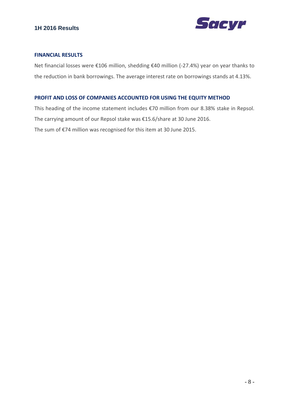

#### **FINANCIAL RESULTS**

Net financial losses were €106 million, shedding €40 million (‐27.4%) year on year thanks to the reduction in bank borrowings. The average interest rate on borrowings stands at 4.13%.

#### **PROFIT AND LOSS OF COMPANIES ACCOUNTED FOR USING THE EQUITY METHOD**

This heading of the income statement includes €70 million from our 8.38% stake in Repsol. The carrying amount of our Repsol stake was €15.6/share at 30 June 2016. The sum of €74 million was recognised for this item at 30 June 2015.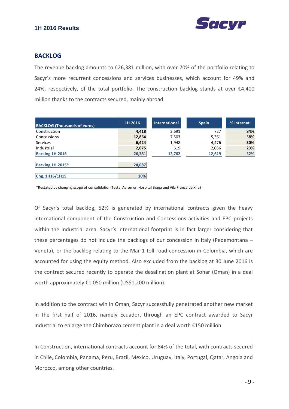



#### **BACKLOG**

The revenue backlog amounts to  $E$ 26,381 million, with over 70% of the portfolio relating to Sacyr's more recurrent concessions and services businesses, which account for 49% and 24%, respectively, of the total portfolio. The construction backlog stands at over  $\epsilon$ 4,400 million thanks to the contracts secured, mainly abroad.

| <b>BACKLOG (Thousands of euros)</b> | 1H 2016 | <b>International</b> | <b>Spain</b> | % Internat. |
|-------------------------------------|---------|----------------------|--------------|-------------|
| Construction                        | 4,418   | 3,691                | 727          | 84%         |
| Concessions                         | 12,864  | 7,503                | 5,361        | 58%         |
| <b>Services</b>                     | 6,424   | 1,948                | 4,476        | 30%         |
| Industrial                          | 2,675   | 619                  | 2,056        | 23%         |
| Backlog 1H 2016                     | 26,381  | 13,762               | 12,619       | 52%         |
|                                     |         |                      |              |             |
| Backlog 1H 2015*                    | 24,087  |                      |              |             |
|                                     |         |                      |              |             |
| Chg. 1H16/1H15                      | 10%     |                      |              |             |

\*Restated by changing scope of consolidation(Testa, Aeromur, Hospital Braga and Vila Franca de Xira)

Of Sacyr's total backlog, 52% is generated by international contracts given the heavy international component of the Construction and Concessions activities and EPC projects within the Industrial area. Sacyr's international footprint is in fact larger considering that these percentages do not include the backlogs of our concession in Italy (Pedemontana – Veneta), or the backlog relating to the Mar 1 toll road concession in Colombia, which are accounted for using the equity method. Also excluded from the backlog at 30 June 2016 is the contract secured recently to operate the desalination plant at Sohar (Oman) in a deal worth approximately €1,050 million (US\$1,200 million).

In addition to the contract win in Oman, Sacyr successfully penetrated another new market in the first half of 2016, namely Ecuador, through an EPC contract awarded to Sacyr Industrial to enlarge the Chimborazo cement plant in a deal worth €150 million.

In Construction, international contracts account for 84% of the total, with contracts secured in Chile, Colombia, Panama, Peru, Brazil, Mexico, Uruguay, Italy, Portugal, Qatar, Angola and Morocco, among other countries.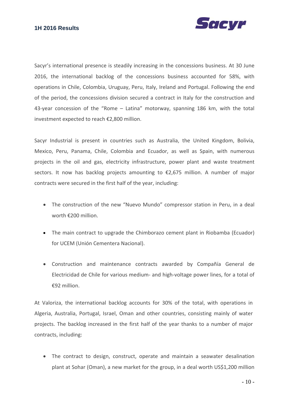

Sacyr's international presence is steadily increasing in the concessions business. At 30 June 2016, the international backlog of the concessions business accounted for 58%, with operations in Chile, Colombia, Uruguay, Peru, Italy, Ireland and Portugal. Following the end of the period, the concessions division secured a contract in Italy for the construction and 43-year concession of the "Rome – Latina" motorway, spanning 186 km, with the total investment expected to reach €2,800 million.

Sacyr Industrial is present in countries such as Australia, the United Kingdom, Bolivia, Mexico, Peru, Panama, Chile, Colombia and Ecuador, as well as Spain, with numerous projects in the oil and gas, electricity infrastructure, power plant and waste treatment sectors. It now has backlog projects amounting to €2,675 million. A number of major contracts were secured in the first half of the year, including:

- The construction of the new "Nuevo Mundo" compressor station in Peru, in a deal worth €200 million.
- The main contract to upgrade the Chimborazo cement plant in Riobamba (Ecuador) for UCEM (Unión Cementera Nacional).
- Construction and maintenance contracts awarded by Compañía General de Electricidad de Chile for various medium‐ and high‐voltage power lines, for a total of €92 million.

At Valoriza, the international backlog accounts for 30% of the total, with operations in Algeria, Australia, Portugal, Israel, Oman and other countries, consisting mainly of water projects. The backlog increased in the first half of the year thanks to a number of major contracts, including:

• The contract to design, construct, operate and maintain a seawater desalination plant at Sohar (Oman), a new market for the group, in a deal worth US\$1,200 million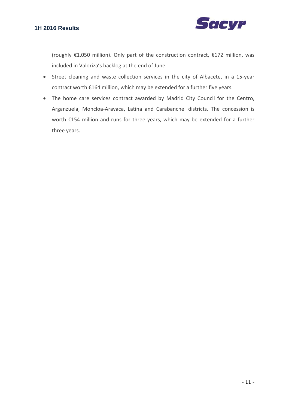

(roughly €1,050 million). Only part of the construction contract, €172 million, was included in Valoriza's backlog at the end of June.

- Street cleaning and waste collection services in the city of Albacete, in a 15‐year contract worth €164 million, which may be extended for a further five years.
- The home care services contract awarded by Madrid City Council for the Centro, Arganzuela, Moncloa‐Aravaca, Latina and Carabanchel districts. The concession is worth €154 million and runs for three years, which may be extended for a further three years.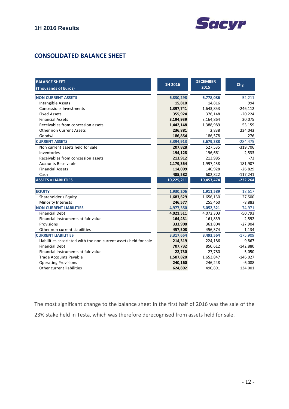

## **CONSOLIDATED BALANCE SHEET**

| <b>BALANCE SHEET</b><br>(Thousands of Euros)                     | 1H 2016    | <b>DECEMBER</b><br>2015 | Chg        |
|------------------------------------------------------------------|------------|-------------------------|------------|
|                                                                  |            |                         |            |
| <b>NON CURRENT ASSETS</b>                                        | 6,830,298  | 6,778,086               | 52,211     |
| Intangible Assets                                                | 15,810     | 14,816                  | 994        |
| <b>Concessions Investments</b>                                   | 1,397,741  | 1,643,853               | $-246,112$ |
| <b>Fixed Assets</b>                                              | 355,924    | 376,148                 | $-20,224$  |
| <b>Financial Assets</b>                                          | 3,194,939  | 3,164,864               | 30,075     |
| Receivables from concession assets                               | 1,442,148  | 1,388,989               | 53,159     |
| <b>Other non Current Assets</b>                                  | 236,881    | 2,838                   | 234,043    |
| Goodwill                                                         | 186,854    | 186,578                 | 276        |
| <b>CURRENT ASSETS</b>                                            | 3,394,913  | 3,679,388               | $-284,475$ |
| Non current assets held for sale                                 | 207,828    | 527,535                 | $-319,706$ |
| Inventories                                                      | 194,128    | 196,661                 | $-2,533$   |
| Receivables from concession assets                               | 213,912    | 213,985                 | $-73$      |
| <b>Accounts Receivable</b>                                       | 2,179,364  | 1,997,458               | 181,907    |
| <b>Financial Assets</b>                                          | 114,099    | 140,928                 | $-26,829$  |
| Cash                                                             | 485,582    | 602,822                 | $-117,241$ |
| <b>ASSETS = LIABILITIES</b>                                      | 10,225,211 | 10,457,474              | $-232,264$ |
|                                                                  |            |                         |            |
| <b>EQUITY</b>                                                    | 1,930,206  | 1,911,589               | 18,617     |
| Shareholder's Equity                                             | 1,683,629  | 1,656,130               | 27,500     |
| <b>Minority Interests</b>                                        | 246,577    | 255,460                 | $-8,883$   |
| <b>NON CURRENT LIABILITIES</b>                                   | 4,977,350  | 5,052,321               | $-74,971$  |
| <b>Financial Debt</b>                                            | 4,021,511  | 4,072,303               | $-50,793$  |
| Financial Instruments at fair value                              | 164,431    | 161,839                 | 2,592      |
| Provisions                                                       | 333,900    | 361,804                 | $-27,904$  |
| Other non current Liabilities                                    | 457,508    | 456,374                 | 1,134      |
| <b>CURRENT LIABILITIES</b>                                       | 3,317,654  | 3,493,564               | $-175,909$ |
| Liabilities associated with the non current assets held for sale | 214,319    | 224,186                 | $-9,867$   |
| <b>Financial Debt</b>                                            | 707,732    | 850,612                 | $-142,880$ |
| Financial Instruments at fair value                              | 22,730     | 27,780                  | $-5,050$   |
| <b>Trade Accounts Payable</b>                                    | 1,507,820  | 1,653,847               | $-146,027$ |
| <b>Operating Provisions</b>                                      | 240,160    | 246,248                 | $-6,088$   |
| Other current liabilities                                        | 624,892    | 490,891                 | 134,001    |

The most significant change to the balance sheet in the first half of 2016 was the sale of the 23% stake held in Testa, which was therefore derecognised from assets held for sale.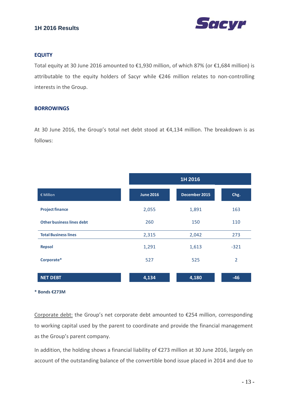

#### **EQUITY**

Total equity at 30 June 2016 amounted to €1,930 million, of which 87% (or €1,684 million) is attributable to the equity holders of Sacyr while €246 million relates to non‐controlling interests in the Group.

#### **BORROWINGS**

At 30 June 2016, the Group's total net debt stood at €4,134 million. The breakdown is as follows:

|                                  |                  | 1H 2016       |                |
|----------------------------------|------------------|---------------|----------------|
| € Million                        | <b>June 2016</b> | December 2015 | Chg.           |
| <b>Project finance</b>           | 2,055            | 1,891         | 163            |
| <b>Other business lines debt</b> | 260              | 150           | 110            |
| <b>Total Business lines</b>      | 2,315            | 2,042         | 273            |
| <b>Repsol</b>                    | 1,291            | 1,613         | $-321$         |
| Corporate*                       | 527              | 525           | $\overline{2}$ |
| <b>NET DEBT</b>                  | 4,134            | 4,180         | $-46$          |

**\* Bonds €273M** 

Corporate debt: the Group's net corporate debt amounted to €254 million, corresponding to working capital used by the parent to coordinate and provide the financial management as the Group's parent company.

In addition, the holding shows a financial liability of €273 million at 30 June 2016, largely on account of the outstanding balance of the convertible bond issue placed in 2014 and due to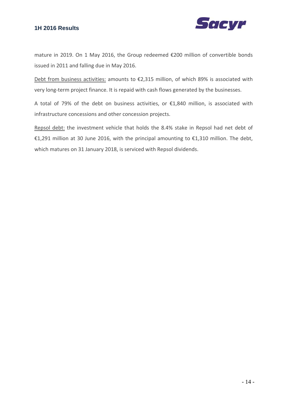

mature in 2019. On 1 May 2016, the Group redeemed €200 million of convertible bonds issued in 2011 and falling due in May 2016.

Debt from business activities: amounts to €2,315 million, of which 89% is associated with very long-term project finance. It is repaid with cash flows generated by the businesses.

A total of 79% of the debt on business activities, or €1,840 million, is associated with infrastructure concessions and other concession projects.

Repsol debt: the investment vehicle that holds the 8.4% stake in Repsol had net debt of €1,291 million at 30 June 2016, with the principal amounting to €1,310 million. The debt, which matures on 31 January 2018, is serviced with Repsol dividends.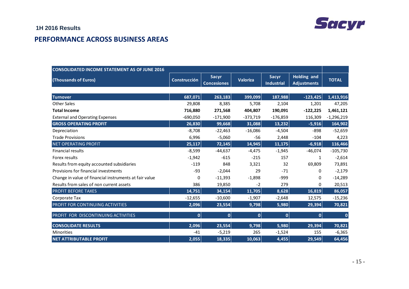

### **PERFORMANCE ACROSS BUSINESS AREAS**

| <b>CONSOLIDATED INCOME STATEMENT AS OF JUNE 2016</b>   |              |                                    |                 |                                   |                                          |              |
|--------------------------------------------------------|--------------|------------------------------------|-----------------|-----------------------------------|------------------------------------------|--------------|
| (Thousands of Euros)                                   | Construcción | <b>Sacyr</b><br><b>Concesiones</b> | <b>Valoriza</b> | <b>Sacvr</b><br><b>Industrial</b> | <b>Holding and</b><br><b>Adjustments</b> | <b>TOTAL</b> |
|                                                        |              |                                    |                 |                                   |                                          |              |
| <b>Turnover</b>                                        | 687,071      | 263,183                            | 399,099         | 187,988                           | $-123,425$                               | 1,413,916    |
| <b>Other Sales</b>                                     | 29,808       | 8,385                              | 5,708           | 2,104                             | 1,201                                    | 47,205       |
| <b>Total Income</b>                                    | 716,880      | 271,568                            | 404,807         | 190,091                           | $-122,225$                               | 1,461,121    |
| <b>External and Operating Expenses</b>                 | $-690,050$   | $-171,900$                         | $-373,719$      | $-176,859$                        | 116,309                                  | $-1,296,219$ |
| <b>GROSS OPERATING PROFIT</b>                          | 26,830       | 99,668                             | 31,088          | 13,232                            | $-5,916$                                 | 164,902      |
| Depreciation                                           | $-8,708$     | $-22,463$                          | $-16,086$       | $-4,504$                          | $-898$                                   | $-52,659$    |
| <b>Trade Provisions</b>                                | 6,996        | $-5,060$                           | $-56$           | 2,448                             | $-104$                                   | 4,223        |
| <b>NET OPERATING PROFIT</b>                            | 25,117       | 72,145                             | 14,945          | 11,175                            | $-6,918$                                 | 116,466      |
| <b>Financial results</b>                               | $-8,599$     | $-44,637$                          | $-4,475$        | $-1,945$                          | $-46,074$                                | $-105,730$   |
| Forex results                                          | $-1,942$     | $-615$                             | $-215$          | 157                               | 1                                        | $-2,614$     |
| Results from equity accounted subsidiaries             | $-119$       | 848                                | 3,321           | 32                                | 69,809                                   | 73,891       |
| Provisions for financial investments                   | $-93$        | $-2,044$                           | 29              | $-71$                             | $\Omega$                                 | $-2,179$     |
| Change in value of financial instruments at fair value | 0            | $-11,393$                          | $-1,898$        | $-999$                            | 0                                        | $-14,289$    |
| Results from sales of non current assets               | 386          | 19,850                             | $-2$            | 279                               | $\Omega$                                 | 20,513       |
| <b>PROFIT BEFORE TAXES</b>                             | 14,751       | 34,154                             | 11,705          | 8,628                             | 16,819                                   | 86,057       |
| Corporate Tax                                          | $-12,655$    | $-10,600$                          | $-1,907$        | $-2,648$                          | 12,575                                   | $-15,236$    |
| PROFIT FOR CONTINUING ACTIVITIES                       | 2,096        | 23,554                             | 9,798           | 5,980                             | 29,394                                   | 70,821       |
| PROFIT FOR DISCONTINUING ACTIVITIES                    | 0            | 0                                  | 0               | $\mathbf 0$                       | $\mathbf 0$                              | $\bf{0}$     |
| <b>CONSOLIDATE RESULTS</b>                             | 2,096        | 23,554                             | 9,798           | 5,980                             | 29,394                                   | 70,821       |
| <b>Minorities</b>                                      | $-41$        | $-5,219$                           | 265             | $-1,524$                          | 155                                      | $-6,365$     |
| <b>NET ATTRIBUTABLE PROFIT</b>                         | 2,055        | 18,335                             | 10,063          | 4,455                             | 29,549                                   | 64,456       |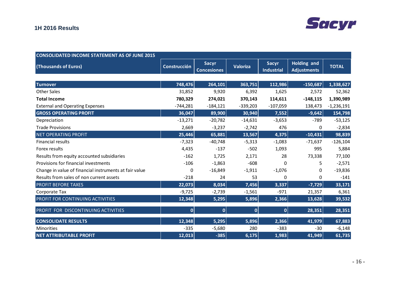# **Sacyr**

| <b>CONSOLIDATED INCOME STATEMENT AS OF JUNE 2015</b>   |                     |                                    |            |                                   |                                          |              |
|--------------------------------------------------------|---------------------|------------------------------------|------------|-----------------------------------|------------------------------------------|--------------|
| (Thousands of Euros)                                   | <b>Construcción</b> | <b>Sacyr</b><br><b>Concesiones</b> | Valoriza   | <b>Sacyr</b><br><b>Industrial</b> | <b>Holding and</b><br><b>Adjustments</b> | <b>TOTAL</b> |
|                                                        |                     |                                    |            |                                   |                                          |              |
| <b>Turnover</b>                                        | 748,476             | 264,101                            | 363,751    | 112,986                           | $-150,687$                               | 1,338,627    |
| Other Sales                                            | 31,852              | 9,920                              | 6,392      | 1,625                             | 2,572                                    | 52,362       |
| <b>Total Income</b>                                    | 780,329             | 274,021                            | 370,143    | 114,611                           | $-148,115$                               | 1,390,989    |
| <b>External and Operating Expenses</b>                 | $-744,281$          | $-184,121$                         | $-339,203$ | $-107,059$                        | 138,473                                  | $-1,236,191$ |
| <b>GROSS OPERATING PROFIT</b>                          | 36,047              | 89,900                             | 30,940     | 7,552                             | $-9,642$                                 | 154,798      |
| Depreciation                                           | $-13,271$           | $-20,782$                          | $-14,631$  | $-3,653$                          | $-789$                                   | $-53,125$    |
| <b>Trade Provisions</b>                                | 2,669               | $-3,237$                           | $-2,742$   | 476                               | 0                                        | $-2,834$     |
| <b>NET OPERATING PROFIT</b>                            | 25,446              | 65,881                             | 13,567     | 4,375                             | $-10,431$                                | 98,839       |
| <b>Financial results</b>                               | $-7,323$            | $-40,748$                          | $-5,313$   | $-1,083$                          | $-71,637$                                | $-126,104$   |
| Forex results                                          | 4,435               | $-137$                             | $-502$     | 1,093                             | 995                                      | 5,884        |
| Results from equity accounted subsidiaries             | $-162$              | 1,725                              | 2,171      | 28                                | 73,338                                   | 77,100       |
| Provisions for financial investments                   | $-106$              | $-1,863$                           | $-608$     | $\Omega$                          | 5                                        | $-2,571$     |
| Change in value of financial instruments at fair value | 0                   | $-16,849$                          | $-1,911$   | $-1,076$                          | 0                                        | $-19,836$    |
| Results from sales of non current assets               | $-218$              | 24                                 | 53         | $\Omega$                          | 0                                        | $-141$       |
| <b>PROFIT BEFORE TAXES</b>                             | 22,073              | 8,034                              | 7,456      | 3,337                             | $-7,729$                                 | 33,171       |
| Corporate Tax                                          | $-9,725$            | $-2,739$                           | $-1,561$   | $-971$                            | 21,357                                   | 6,361        |
| PROFIT FOR CONTINUING ACTIVITIES                       | 12,348              | 5,295                              | 5,896      | 2,366                             | 13,628                                   | 39,532       |
| PROFIT FOR DISCONTINUING ACTIVITIES                    | $\overline{0}$      | 0                                  | 0          | 0                                 | 28,351                                   | 28,351       |
| <b>CONSOLIDATE RESULTS</b>                             | 12,348              | 5,295                              | 5,896      | 2,366                             | 41,979                                   | 67,883       |
| Minorities                                             | $-335$              | $-5,680$                           | 280        | $-383$                            | $-30$                                    | $-6,148$     |
| <b>NET ATTRIBUTABLE PROFIT</b>                         | 12,013              | $-385$                             | 6,175      | 1,983                             | 41,949                                   | 61,735       |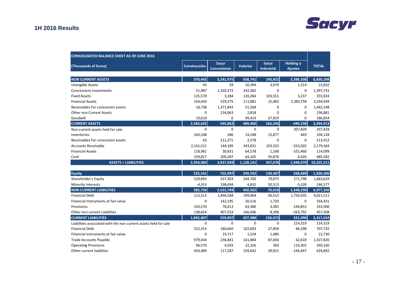# **Sacyr**

| <b>CONSOLIDATED BALANCE SHEET AS OF JUNE 2016</b>                |              |                                    |                 |                            |                                    |              |
|------------------------------------------------------------------|--------------|------------------------------------|-----------------|----------------------------|------------------------------------|--------------|
| (Thousands of Euros)                                             | Construcción | <b>Sacyr</b><br><b>Concesiones</b> | <b>Valoriza</b> | Sacyr<br><b>Industrial</b> | <b>Holding y</b><br><b>Ajustes</b> | <b>TOTAL</b> |
| <b>NON CURRENT ASSETS</b>                                        | 370,442      | 3,241,975                          | 638,741         | 190,832                    | 2,388,308                          | 6,830,298    |
| Intangible Assets                                                | 93           | 39                                 | 10,394          | 3,970                      | 1,314                              | 15,810       |
| <b>Concessions Investments</b>                                   | 51,987       | 1,103,372                          | 242,382         | $\Omega$                   | $\mathbf 0$                        | 1,397,741    |
| <b>Fixed Assets</b>                                              | 125,570      | 3,284                              | 120,284         | 103,551                    | 3,237                              | 355,924      |
| <b>Financial Assets</b>                                          | 154,443      | 529,375                            | 111,881         | 15,482                     | 2,383,758                          | 3,194,939    |
| Receivables for concession assets                                | 18,738       | 1,371,843                          | 51,568          | $\mathbf 0$                | 0                                  | 1,442,148    |
| <b>Other non Current Assets</b>                                  | $\mathbf 0$  | 234,063                            | 2,818           | 0                          | 0                                  | 236,881      |
| Goodwill                                                         | 19,610       | 0                                  | 99,414          | 67,829                     | $\mathbf 0$                        | 186,854      |
| <b>CURRENT ASSETS</b>                                            | 2,583,642    | 595,863                            | 489,400         | 166,246                    | $-440,238$                         | 3,394,913    |
| Non current assets held for sale                                 | $\mathbf 0$  | 0                                  | $\mathbf 0$     | $\mathbf 0$                | 207,828                            | 207,828      |
| Inventories                                                      | 163,248      | 286                                | 14,248          | 15,877                     | 469                                | 194,128      |
| Receivables for concession assets                                | 63           | 211,271                            | 2,578           | $\mathbf 0$                | $\mathbf 0$                        | 213,912      |
| <b>Accounts Receivable</b>                                       | 2,141,521    | 144,189                            | 343,831         | 103,325                    | $-553,502$                         | 2,179,364    |
| <b>Financial Assets</b>                                          | 118,981      | 30,831                             | 64,578          | 1,168                      | $-101,460$                         | 114,099      |
| Cash                                                             | 159,827      | 209,287                            | 64,165          | 45,876                     | 6,426                              | 485,582      |
| <b>ASSETS = LIABILITIES</b>                                      | 2,954,083    | 3,837,839                          | 1,128,141       | 357,078                    | 1,948,070                          | 10,225,211   |
| <b>Equity</b>                                                    | 525,541      | 755,997                            | 249,592         | 130,387                    | 268,689                            | 1,930,206    |
| Shareholder's Equity                                             | 529,893      | 557,303                            | 244,760         | 79,875                     | 271,798                            | 1,683,629    |
| Minority Interests                                               | $-4,353$     | 198,694                            | 4,832           | 50,513                     | $-3,109$                           | 246,577      |
| <b>NON CURRENT LIABILITIES</b>                                   | 585,736      | 2,522,744                          | 450,562         | 70,018                     | 1,348,290                          | 4,977,350    |
| <b>Financial Debt</b>                                            | 113,512      | 1,894,584                          | 199,964         | 56,515                     | 1,756,935                          | 4,021,511    |
| Financial Instruments at fair value                              | 0            | 142,195                            | 20,516          | 1,720                      | 0                                  | 164,431      |
| Provisions                                                       | 333,570      | 78,413                             | 63,386          | 3,385                      | $-144,853$                         | 333,900      |
| Other non current Liabilities                                    | 138,654      | 407,553                            | 166,696         | 8,398                      | $-263,792$                         | 457,508      |
| <b>CURRENT LIABILITIES</b>                                       | 1,842,807    | 559,097                            | 427,988         | 156,672                    | 331,090                            | 3,317,654    |
| Liabilities associated with the non current assets held for sale | $\Omega$     | 0                                  | $\Omega$        | $\Omega$                   | 214,319                            | 214,319      |
| <b>Financial Debt</b>                                            | 312,314      | 180,660                            | 102,603         | 27,858                     | 84,298                             | 707,732      |
| Financial instruments at fair value                              | $\Omega$     | 19,717                             | 1,534           | 1,480                      | $\mathbf 0$                        | 22,730       |
| <b>Trade Accounts Payable</b>                                    | 979,434      | 236,841                            | 141,884         | 87,044                     | 62,618                             | 1,507,820    |
| <b>Operating Provisions</b>                                      | 96,570       | 4,593                              | 22,326          | 369                        | 116,302                            | 240,160      |
| Other current liabilities                                        | 454,489      | 117,287                            | 159,642         | 39,921                     | $-146,447$                         | 624,892      |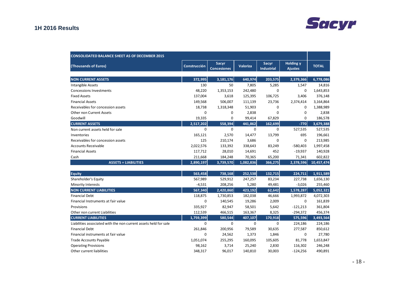# **Sacyr**

| <b>CONSOLIDATED BALANCE SHEET AS OF DECEMBER 2015</b>            |              |                                    |                 |                            |                                    |              |
|------------------------------------------------------------------|--------------|------------------------------------|-----------------|----------------------------|------------------------------------|--------------|
| (Thousands of Euros)                                             | Construcción | <b>Sacyr</b><br><b>Concesiones</b> | <b>Valoriza</b> | Sacyr<br><b>Industrial</b> | <b>Holding y</b><br><b>Ajustes</b> | <b>TOTAL</b> |
|                                                                  |              |                                    |                 |                            |                                    |              |
| <b>NON CURRENT ASSETS</b>                                        | 372,995      | 3,181,176                          | 640,974         | 203,575                    | 2,379,366                          | 6,778,086    |
| <b>Intangible Assets</b>                                         | 130          | 50                                 | 7,805           | 5,285                      | 1,547                              | 14,816       |
| <b>Concessions Investments</b>                                   | 48,220       | 1,353,153                          | 242,480         | 0                          | 0                                  | 1,643,853    |
| <b>Fixed Assets</b>                                              | 137,004      | 3,618                              | 125,395         | 106,725                    | 3,406                              | 376,148      |
| <b>Financial Assets</b>                                          | 149,568      | 506,007                            | 111,139         | 23,736                     | 2,374,414                          | 3,164,864    |
| Receivables for concession assets                                | 18,738       | 1,318,348                          | 51,903          | $\mathbf 0$                | 0                                  | 1,388,989    |
| <b>Other non Current Assets</b>                                  | $\mathbf 0$  | 0                                  | 2,838           | 0                          | 0                                  | 2,838        |
| Goodwill                                                         | 19,335       | 0                                  | 99,414          | 67,829                     | $\mathbf 0$                        | 186,578      |
| <b>CURRENT ASSETS</b>                                            | 2,517,202    | 558,394                            | 441,862         | 162,699                    | $-770$                             | 3,679,388    |
| Non current assets held for sale                                 | $\Omega$     | $\mathbf 0$                        | $\Omega$        | $\mathbf 0$                | 527,535                            | 527,535      |
| Inventories                                                      | 165,121      | 2,570                              | 14,477          | 13,799                     | 695                                | 196,661      |
| Receivables for concession assets                                | 125          | 210,174                            | 3,686           | $\mathbf 0$                | 0                                  | 213,985      |
| <b>Accounts Receivable</b>                                       | 2,022,576    | 133,392                            | 338,643         | 83,249                     | $-580,403$                         | 1,997,458    |
| <b>Financial Assets</b>                                          | 117,712      | 28,010                             | 14,691          | 452                        | $-19,937$                          | 140,928      |
| Cash                                                             | 211,668      | 184,248                            | 70,365          | 65,200                     | 71,341                             | 602,822      |
| <b>ASSETS = LIABILITIES</b>                                      | 2,890,197    | 3,739,570                          | 1,082,836       | 366,275                    | 2,378,596                          | 10,457,474   |
|                                                                  |              |                                    |                 |                            |                                    |              |
| <b>Equity</b>                                                    | 563,458      | 738,168                            | 252,538         | 132,715                    | 224,711                            | 1,911,589    |
| Shareholder's Equity                                             | 567,989      | 529,912                            | 247,257         | 83,234                     | 227,738                            | 1,656,130    |
| Minority Interests                                               | $-4,531$     | 208,256                            | 5,280           | 49,481                     | $-3,026$                           | 255,460      |
| <b>NON CURRENT LIABILITIES</b>                                   | 567,340      | 2,420,860                          | 423,192         | 62,642                     | 1,578,287                          | 5,052,321    |
| <b>Financial Debt</b>                                            | 118,875      | 1,730,853                          | 182,038         | 46,666                     | 1,993,872                          | 4,072,303    |
| Financial Instruments at fair value                              | $\mathbf 0$  | 140,545                            | 19,286          | 2,009                      | 0                                  | 161,839      |
| Provisions                                                       | 335,927      | 82,947                             | 58,501          | 5,642                      | $-121,213$                         | 361,804      |
| Other non current Liabilities                                    | 112,539      | 466,515                            | 163,367         | 8,325                      | $-294,372$                         | 456,374      |
| <b>CURRENT LIABILITIES</b>                                       | 1,759,399    | 580,544                            | 407,107         | 170,918                    | 575,596                            | 3,493,564    |
| Liabilities associated with the non current assets held for sale | $\Omega$     | $\Omega$                           | $\Omega$        | $\mathbf 0$                | 224,186                            | 224,186      |
| <b>Financial Debt</b>                                            | 261,846      | 200,956                            | 79,589          | 30,635                     | 277,587                            | 850,612      |
| Financial instruments at fair value                              | $\mathbf 0$  | 24,562                             | 1,373           | 1,846                      | $\mathbf 0$                        | 27,780       |
| <b>Trade Accounts Payable</b>                                    | 1,051,074    | 255,295                            | 160,095         | 105,605                    | 81,778                             | 1,653,847    |
| <b>Operating Provisions</b>                                      | 98,162       | 3,714                              | 25,240          | 2,830                      | 116,302                            | 246,248      |
| Other current liabilities                                        | 348,317      | 96,017                             | 140,810         | 30,003                     | $-124,256$                         | 490,891      |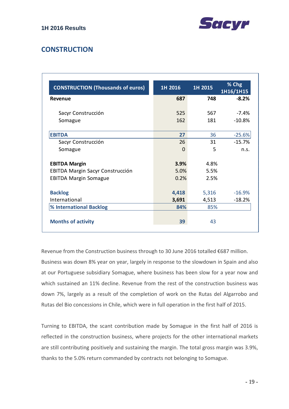

## **CONSTRUCTION**

| <b>CONSTRUCTION (Thousands of euros)</b> | 1H 2016  | 1H 2015 | % Chg<br>1H16/1H15 |
|------------------------------------------|----------|---------|--------------------|
| Revenue                                  | 687      | 748     | $-8.2%$            |
| Sacyr Construcción                       | 525      | 567     | $-7.4%$            |
| Somague                                  | 162      | 181     | $-10.8%$           |
| <b>EBITDA</b>                            | 27       | 36      | $-25.6%$           |
| Sacyr Construcción                       | 26       | 31      | $-15.7%$           |
| Somague                                  | $\Omega$ | 5       | n.s.               |
| <b>EBITDA Margin</b>                     | 3.9%     | 4.8%    |                    |
| <b>EBITDA Margin Sacyr Construcción</b>  | 5.0%     | 5.5%    |                    |
| <b>EBITDA Margin Somague</b>             | 0.2%     | 2.5%    |                    |
| <b>Backlog</b>                           | 4,418    | 5,316   | $-16.9%$           |
| International                            | 3,691    | 4,513   | $-18.2%$           |
| % International Backlog                  | 84%      | 85%     |                    |
| <b>Months of activity</b>                | 39       | 43      |                    |

Revenue from the Construction business through to 30 June 2016 totalled €687 million. Business was down 8% year on year, largely in response to the slowdown in Spain and also at our Portuguese subsidiary Somague, where business has been slow for a year now and which sustained an 11% decline. Revenue from the rest of the construction business was down 7%, largely as a result of the completion of work on the Rutas del Algarrobo and Rutas del Bio concessions in Chile, which were in full operation in the first half of 2015.

Turning to EBITDA, the scant contribution made by Somague in the first half of 2016 is reflected in the construction business, where projects for the other international markets are still contributing positively and sustaining the margin. The total gross margin was 3.9%, thanks to the 5.0% return commanded by contracts not belonging to Somague.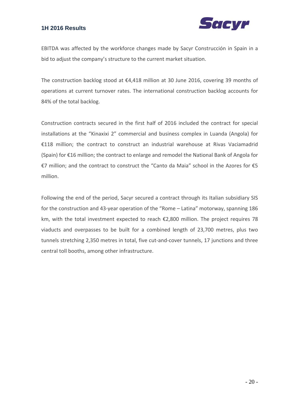

EBITDA was affected by the workforce changes made by Sacyr Construcción in Spain in a bid to adjust the company's structure to the current market situation.

The construction backlog stood at €4,418 million at 30 June 2016, covering 39 months of operations at current turnover rates. The international construction backlog accounts for 84% of the total backlog.

Construction contracts secured in the first half of 2016 included the contract for special installations at the "Kinaxixi 2" commercial and business complex in Luanda (Angola) for €118 million; the contract to construct an industrial warehouse at Rivas Vaciamadrid (Spain) for €16 million; the contract to enlarge and remodel the National Bank of Angola for €7 million; and the contract to construct the "Canto da Maia" school in the Azores for €5 million.

Following the end of the period, Sacyr secured a contract through its Italian subsidiary SIS for the construction and 43‐year operation of the "Rome – Latina" motorway, spanning 186 km, with the total investment expected to reach €2,800 million. The project requires 78 viaducts and overpasses to be built for a combined length of 23,700 metres, plus two tunnels stretching 2,350 metres in total, five cut-and-cover tunnels, 17 junctions and three central toll booths, among other infrastructure.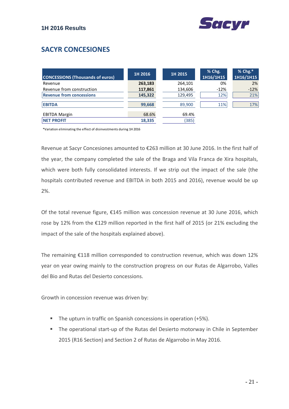# **SACYR CONCESIONES**

| <b>CONCESSIONS (Thousands of euros)</b> | 1H 2016 | 1H 2015 | % Chg.<br>1H16/1H15 | % Chg.*<br>1H16/1H15 |
|-----------------------------------------|---------|---------|---------------------|----------------------|
| Revenue                                 | 263,183 | 264,101 | 0%                  | 2%                   |
| Revenue from construction               | 117,861 | 134,606 | $-12%$              | $-12%$               |
| <b>Revenue from concessions</b>         | 145,322 | 129,495 | 12%                 | 21%                  |
| <b>EBITDA</b>                           | 99,668  | 89,900  | 11%                 | 17%                  |
| <b>EBITDA Margin</b>                    | 68.6%   | 69.4%   |                     |                      |
| <b>INET PROFIT</b>                      | 18,335  | (385)   |                     |                      |

\*Variation eliminating the effect of disinvestments during 1H 2016

Revenue at Sacyr Concesiones amounted to €263 million at 30 June 2016. In the first half of the year, the company completed the sale of the Braga and Vila Franca de Xira hospitals, which were both fully consolidated interests. If we strip out the impact of the sale (the hospitals contributed revenue and EBITDA in both 2015 and 2016), revenue would be up 2%.

Of the total revenue figure, €145 million was concession revenue at 30 June 2016, which rose by 12% from the €129 million reported in the first half of 2015 (or 21% excluding the impact of the sale of the hospitals explained above).

The remaining €118 million corresponded to construction revenue, which was down 12% year on year owing mainly to the construction progress on our Rutas de Algarrobo, Valles del Bio and Rutas del Desierto concessions.

Growth in concession revenue was driven by:

- The upturn in traffic on Spanish concessions in operation (+5%).
- The operational start-up of the Rutas del Desierto motorway in Chile in September 2015 (R16 Section) and Section 2 of Rutas de Algarrobo in May 2016.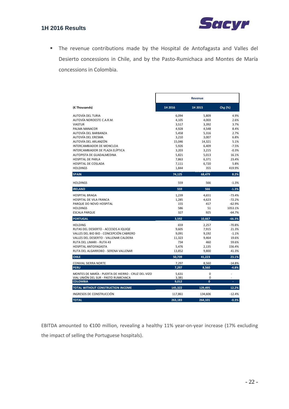

 The revenue contributions made by the Hospital de Antofagasta and Valles del Desierto concessions in Chile, and by the Pasto‐Rumichaca and Montes de María concessions in Colombia.

|                                                                     | <b>Revenue</b> |                |                |
|---------------------------------------------------------------------|----------------|----------------|----------------|
| (€ Thousands)                                                       | 1H 2016        | 1H 2015        | Chg (%)        |
| AUTOVÍA DEL TURIA                                                   | 6,094          | 5,809          | 4.9%           |
| AUTOVÍA NOROESTE C.A.R.M.                                           | 4,105          | 4,003          | 2.6%           |
| <b>VIASTUR</b>                                                      | 3,517          | 3,392          | 3.7%           |
| PALMA MANACOR                                                       | 4,928          | 4,548          | 8.4%           |
| AUTOVÍA DEL BARBANZA<br>AUTOVÍA DEL ERESMA                          | 5,458<br>3,210 | 5,316<br>3,007 | 2.7%<br>6.8%   |
| AUTOVÍA DEL ARLANZÓN                                                | 15,046         | 14,321         | 5.1%           |
| INTERCAMBIADOR DE MONCLOA                                           | 5,926          | 6,409          | $-7.5%$        |
| INTERCAMBIADOR DE PLAZA ELÍPTICA                                    | 3,203          | 3,215          | $-0.3%$        |
| AUTOPISTA DE GUADALMEDINA                                           | 5,821          | 5,013          | 16.1%          |
| <b>HOSPITAL DE PARLA</b>                                            | 7,863          | 6,371          | 23.4%          |
| HOSPITAL DE COSLADA                                                 | 7,111          | 6,720          | 5.8%           |
| <b>HOLDINGS</b>                                                     | 1,844          | 355            | 419.9%         |
| <b>SPAIN</b>                                                        | 74,125         | 68.479         | 8.2%           |
| <b>HOLDINGS</b>                                                     | 559            | 566            | $-1.3%$        |
| <b>IRELAND</b>                                                      | 559            | 566            | $-1.3%$        |
| <b>HOSPITAL BRAGA</b>                                               | 1,239          | 4,651          | $-73.4%$       |
| HOSPITAL DE VILA FRANCA                                             | 1,285          | 4,623          | $-72.2%$       |
| PARQUE DO NOVO HOSPITAL                                             | 155            | 417            | $-62.9%$       |
| <b>HOLDINGS</b>                                                     | 586            | 51             | 1053.1%        |
| <b>ESCALA PARQUE</b>                                                | 327            | 925            | $-64.7%$       |
| <b>PORTUGAL</b>                                                     | 3,592          | 10,667         | $-66.3%$       |
| <b>HOLDING</b>                                                      | 659            | 2,257          | $-70.8%$       |
| RUTAS DEL DESIERTO - ACCESOS A IQUIQE                               | 9,605          | 7,915          | 21.3%          |
| VALLES DEL BIO BIO - CONCEPCIÓN CABRERO                             | 9,091          | 9,192          | $-1.1%$        |
| VALLES DEL DESIERTO - VALLENAR CALDERA<br>RUTA DEL LIMARI - RUTA 43 | 11,323<br>734  | 9,464<br>460   | 19.6%<br>59.6% |
| HOSPITAL ANTOFAGASTA                                                | 5,476          | 2,135          | 156.4%         |
| RUTA DEL ALGARROBO - SERENA VALLENAR                                | 13,852         | 9,800          | 41.3%          |
| <b>CHILE</b>                                                        | 50,739         | 41,223         | 23.1%          |
| <b>CONVIAL SIERRA NORTE</b>                                         | 7,297          | 8,560          | $-14.8%$       |
| <b>PERU</b>                                                         | 7,297          | 8,560          | $-4.8%$        |
| MONTES DE MARÍA - PUERTA DE HIERRO - CRUZ DEL VIZO                  | 5,631          | 0              |                |
| VIAL UNIÓN DEL SUR - PASTO RUMICHACA                                | 3,381          | 0              |                |
| <b>COLOMBIA</b>                                                     | 9,012          | O              | ٠              |
| TOTAL WITHOUT CONSTRUCTION INCOME                                   | 145,322        | 129,495        | 12.2%          |
| INGRESOS DE CONSTRUCCIÓN                                            | 117,861        | 134,606        | $-12.4%$       |
| <b>TOTAL</b>                                                        | 263,183        | 264,101        | $-0.3%$        |

EBITDA amounted to €100 million, revealing a healthy 11% year‐on‐year increase (17% excluding the impact of selling the Portuguese hospitals).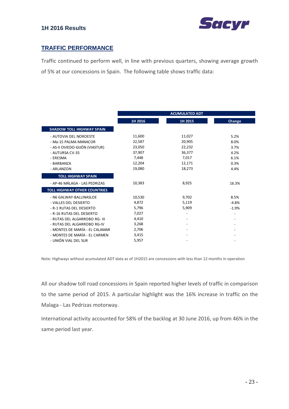

### **TRAFFIC PERFORMANCE**

Traffic continued to perform well, in line with previous quarters, showing average growth of 5% at our concessions in Spain. The following table shows traffic data:

|                                                                                                                                              | <b>ACUMULATED ADT</b>                                             |                                                                   |                                                      |
|----------------------------------------------------------------------------------------------------------------------------------------------|-------------------------------------------------------------------|-------------------------------------------------------------------|------------------------------------------------------|
|                                                                                                                                              | 1H 2016                                                           | 1H 2015                                                           | Change                                               |
| <b>SHADOW TOLL HIGHWAY SPAIN</b>                                                                                                             |                                                                   |                                                                   |                                                      |
| - AUTOVIA DEL NOROESTE<br>- Ma-15 PALMA-MANACOR<br>- AS-II OVIEDO-GIJÓN (VIASTUR)<br>- AUTURSA CV-35<br>- ERESMA<br>- BARBANZA<br>- ARLANZON | 11,600<br>22,587<br>23,050<br>37,907<br>7,448<br>12,204<br>19,080 | 11,027<br>20,905<br>22,232<br>36,377<br>7,017<br>12,171<br>18,273 | 5.2%<br>8.0%<br>3.7%<br>4.2%<br>6.1%<br>0.3%<br>4.4% |
| <b>TOLL HIGHWAY SPAIN</b>                                                                                                                    |                                                                   |                                                                   |                                                      |
| - AP-46 MÁLAGA - LAS PEDRIZAS                                                                                                                | 10,383                                                            | 8,925                                                             | 16.3%                                                |
| <b>TOLL HIGHWAY OTHER COUNTRIES</b><br>- N6 GALWAY-BALLINASLOE<br>- VALLES DEL DESIERTO                                                      | 10,530<br>4,872                                                   | 9,702<br>5,119                                                    | 8.5%<br>$-4.8%$                                      |
| - R-1 RUTAS DEL DESIERTO<br>- R-16 RUTAS DEL DESIERTO<br>- RUTAS DEL ALGARROBO RG- III                                                       | 5,796<br>7,027<br>4,410                                           | 5,909                                                             | $-1.9%$                                              |
| - RUTAS DEL ALGARROBO RG-IV<br>- MONTES DE MARÍA - EL CALAMAR                                                                                | 3,268<br>2,706                                                    |                                                                   |                                                      |
| - MONTES DE MARÍA - EL CARMEN<br>- UNIÓN VIAL DEL SUR                                                                                        | 3,415<br>5,957                                                    |                                                                   |                                                      |

Note: Highways without acumulated ADT data as of 1H2015 are concessions with less than 12 months in operation

All our shadow toll road concessions in Spain reported higher levels of traffic in comparison to the same period of 2015. A particular highlight was the 16% increase in traffic on the Malaga ‐ Las Pedrizas motorway.

International activity accounted for 58% of the backlog at 30 June 2016, up from 46% in the same period last year.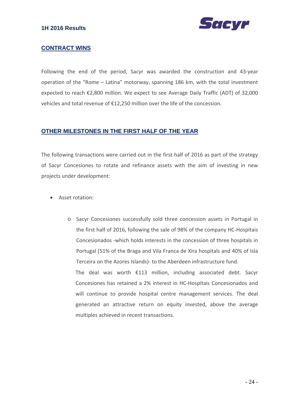

#### **CONTRACT WINS**

Following the end of the period, Sacyr was awarded the construction and 43‐year operation of the "Rome – Latina" motorway, spanning 186 km, with the total investment expected to reach €2,800 million. We expect to see Average Daily Traffic (ADT) of 32,000 vehicles and total revenue of €12,250 million over the life of the concession.

#### **OTHER MILESTONES IN THE FIRST HALF OF THE YEAR**

multiples achieved in recent transactions.

The following transactions were carried out in the first half of 2016 as part of the strategy of Sacyr Concesiones to rotate and refinance assets with the aim of investing in new projects under development:

- Asset rotation:
	- o Sacyr Concesiones successfully sold three concession assets in Portugal in the first half of 2016, following the sale of 98% of the company HC‐Hospitais Concesionados ‐which holds interests in the concession of three hospitals in Portugal (51% of the Braga and Vila Franca de Xira hospitals and 40% of Isla Terceira on the Azores Islands)‐ to the Aberdeen infrastructure fund. The deal was worth €113 million, including associated debt. Sacyr Concesiones has retained a 2% interest in HC‐Hospitais Concesionados and will continue to provide hospital centre management services. The deal

generated an attractive return on equity invested, above the average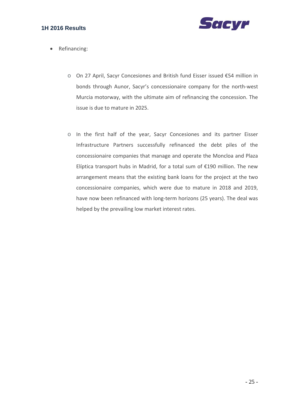

- Refinancing:
	- o On 27 April, Sacyr Concesiones and British fund Eisser issued €54 million in bonds through Aunor, Sacyr's concessionaire company for the north‐west Murcia motorway, with the ultimate aim of refinancing the concession. The issue is due to mature in 2025.
	- o In the first half of the year, Sacyr Concesiones and its partner Eisser Infrastructure Partners successfully refinanced the debt piles of the concessionaire companies that manage and operate the Moncloa and Plaza Elíptica transport hubs in Madrid, for a total sum of €190 million. The new arrangement means that the existing bank loans for the project at the two concessionaire companies, which were due to mature in 2018 and 2019, have now been refinanced with long-term horizons (25 years). The deal was helped by the prevailing low market interest rates.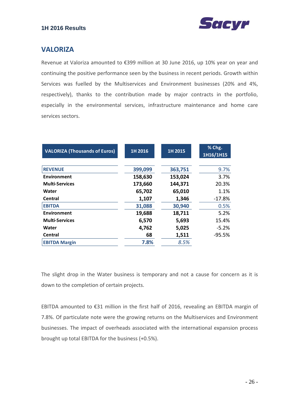

## **VALORIZA**

Revenue at Valoriza amounted to €399 million at 30 June 2016, up 10% year on year and continuing the positive performance seen by the business in recent periods. Growth within Services was fuelled by the Multiservices and Environment businesses (20% and 4%, respectively), thanks to the contribution made by major contracts in the portfolio, especially in the environmental services, infrastructure maintenance and home care services sectors.

| <b>VALORIZA (Thousands of Euros)</b> | 1H 2016 | 1H 2015 | % Chg.<br>1H16/1H15 |
|--------------------------------------|---------|---------|---------------------|
|                                      |         |         |                     |
| <b>REVENUE</b>                       | 399,099 | 363,751 | 9.7%                |
| Environment                          | 158,630 | 153,024 | 3.7%                |
| <b>Multi-Services</b>                | 173,660 | 144,371 | 20.3%               |
| Water                                | 65,702  | 65,010  | 1.1%                |
| Central                              | 1,107   | 1,346   | $-17.8%$            |
| <b>EBITDA</b>                        | 31,088  | 30,940  | 0.5%                |
| Environment                          | 19,688  | 18,711  | 5.2%                |
| <b>Multi-Services</b>                | 6,570   | 5,693   | 15.4%               |
| Water                                | 4,762   | 5,025   | $-5.2%$             |
| Central                              | 68      | 1,511   | $-95.5%$            |
| <b>EBITDA Margin</b>                 | 7.8%    | 8.5%    |                     |

The slight drop in the Water business is temporary and not a cause for concern as it is down to the completion of certain projects.

EBITDA amounted to €31 million in the first half of 2016, revealing an EBITDA margin of 7.8%. Of particulate note were the growing returns on the Multiservices and Environment businesses. The impact of overheads associated with the international expansion process brought up total EBITDA for the business (+0.5%).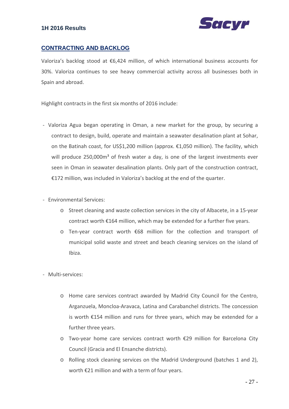

#### **CONTRACTING AND BACKLOG**

Valoriza's backlog stood at €6,424 million, of which international business accounts for 30%. Valoriza continues to see heavy commercial activity across all businesses both in Spain and abroad.

Highlight contracts in the first six months of 2016 include:

- ‐ Valoriza Agua began operating in Oman, a new market for the group, by securing a contract to design, build, operate and maintain a seawater desalination plant at Sohar, on the Batinah coast, for US\$1,200 million (approx. €1,050 million). The facility, which will produce 250,000m<sup>3</sup> of fresh water a day, is one of the largest investments ever seen in Oman in seawater desalination plants. Only part of the construction contract, €172 million, was included in Valoriza's backlog at the end of the quarter.
- ‐ Environmental Services:
	- o Street cleaning and waste collection services in the city of Albacete, in a 15‐year contract worth €164 million, which may be extended for a further five years.
	- o Ten‐year contract worth €68 million for the collection and transport of municipal solid waste and street and beach cleaning services on the island of Ibiza.
- ‐ Multi‐services:
	- o Home care services contract awarded by Madrid City Council for the Centro, Arganzuela, Moncloa‐Aravaca, Latina and Carabanchel districts. The concession is worth €154 million and runs for three years, which may be extended for a further three years.
	- o Two‐year home care services contract worth €29 million for Barcelona City Council (Gracia and El Ensanche districts).
	- o Rolling stock cleaning services on the Madrid Underground (batches 1 and 2), worth €21 million and with a term of four years.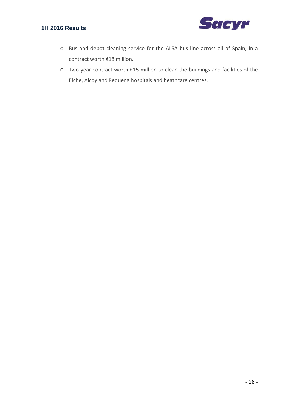

- o Bus and depot cleaning service for the ALSA bus line across all of Spain, in a contract worth €18 million.
- o Two‐year contract worth €15 million to clean the buildings and facilities of the Elche, Alcoy and Requena hospitals and heathcare centres.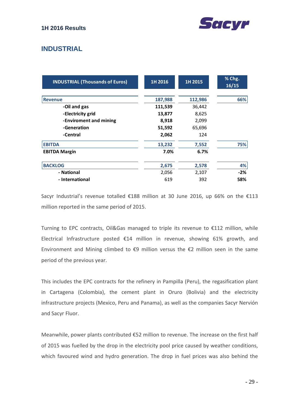

## **INDUSTRIAL**

| <b>INDUSTRIAL (Thousands of Euros)</b> | 1H 2016 | 1H 2015 | % Chg.<br>16/15 |
|----------------------------------------|---------|---------|-----------------|
| <b>Revenue</b>                         | 187,988 | 112,986 | 66%             |
| -Oil and gas                           | 111,539 | 36,442  |                 |
| -Electricity grid                      | 13,877  | 8,625   |                 |
| -Enviroment and mining                 | 8,918   | 2,099   |                 |
| -Generation                            | 51,592  | 65,696  |                 |
| -Central                               | 2,062   | 124     |                 |
| <b>EBITDA</b>                          | 13,232  | 7,552   | 75%             |
| <b>EBITDA Margin</b>                   | 7.0%    | 6.7%    |                 |
| <b>BACKLOG</b>                         | 2,675   | 2,578   | 4%              |
| - National                             | 2,056   | 2,107   | $-2%$           |
| - International                        | 619     | 392     | 58%             |

Sacyr Industrial's revenue totalled €188 million at 30 June 2016, up 66% on the €113 million reported in the same period of 2015.

Turning to EPC contracts, Oil&Gas managed to triple its revenue to €112 million, while Electrical Infrastructure posted €14 million in revenue, showing 61% growth, and Environment and Mining climbed to  $\epsilon$ 9 million versus the  $\epsilon$ 2 million seen in the same period of the previous year.

This includes the EPC contracts for the refinery in Pampilla (Peru), the regasification plant in Cartagena (Colombia), the cement plant in Oruro (Bolivia) and the electricity infrastructure projects (Mexico, Peru and Panama), as well as the companies Sacyr Nervión and Sacyr Fluor.

Meanwhile, power plants contributed €52 million to revenue. The increase on the first half of 2015 was fuelled by the drop in the electricity pool price caused by weather conditions, which favoured wind and hydro generation. The drop in fuel prices was also behind the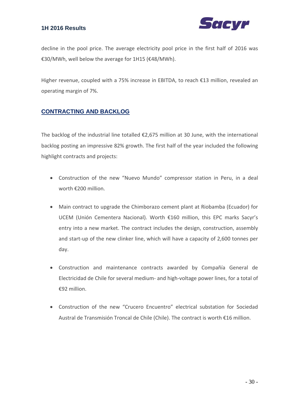

decline in the pool price. The average electricity pool price in the first half of 2016 was €30/MWh, well below the average for 1H15 (€48/MWh).

Higher revenue, coupled with a 75% increase in EBITDA, to reach €13 million, revealed an operating margin of 7%.

#### **CONTRACTING AND BACKLOG**

The backlog of the industrial line totalled €2,675 million at 30 June, with the international backlog posting an impressive 82% growth. The first half of the year included the following highlight contracts and projects:

- Construction of the new "Nuevo Mundo" compressor station in Peru, in a deal worth €200 million.
- Main contract to upgrade the Chimborazo cement plant at Riobamba (Ecuador) for UCEM (Unión Cementera Nacional). Worth €160 million, this EPC marks Sacyr's entry into a new market. The contract includes the design, construction, assembly and start‐up of the new clinker line, which will have a capacity of 2,600 tonnes per day.
- Construction and maintenance contracts awarded by Compañía General de Electricidad de Chile for several medium‐ and high‐voltage power lines, for a total of €92 million.
- Construction of the new "Crucero Encuentro" electrical substation for Sociedad Austral de Transmisión Troncal de Chile (Chile). The contract is worth €16 million.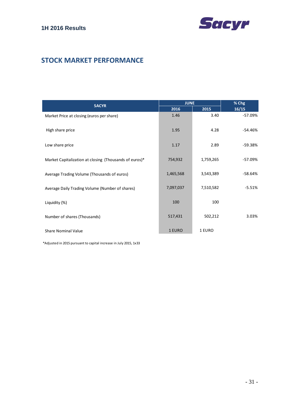

## **STOCK MARKET PERFORMANCE**

| <b>SACYR</b>                                           | <b>JUNE</b> |           | % Chg     |
|--------------------------------------------------------|-------------|-----------|-----------|
|                                                        | 2016        | 2015      | 16/15     |
| Market Price at closing (euros per share)              | 1.46        | 3.40      | $-57.09%$ |
| High share price                                       | 1.95        | 4.28      | $-54.46%$ |
| Low share price                                        | 1.17        | 2.89      | $-59.38%$ |
| Market Capitalization at closing (Thousands of euros)* | 754,932     | 1,759,265 | $-57.09%$ |
| Average Trading Volume (Thousands of euros)            | 1,465,568   | 3,543,389 | $-58.64%$ |
| Average Daily Trading Volume (Number of shares)        | 7,097,037   | 7,510,582 | $-5.51%$  |
| Liquidity (%)                                          | 100         | 100       |           |
| Number of shares (Thousands)                           | 517,431     | 502,212   | 3.03%     |
| Share Nominal Value                                    | 1 EURO      | 1 EURO    |           |

\*Adjusted in 2015 pursuant to capital increase in July 2015, 1x33